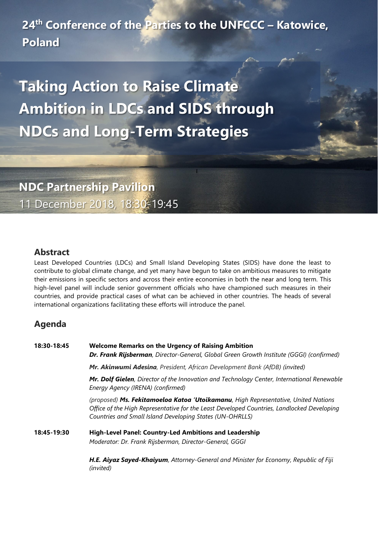**24th Conference of the Parties to the UNFCCC – Katowice, Poland**

**Taking Action to Raise Climate Ambition in LDCs and SIDS through NDCs and Long-Term Strategies**

**NDC Partnership Pavilion** 11 December 2018, 18:30-19:45

## **Abstract**

Least Developed Countries (LDCs) and Small Island Developing States (SIDS) have done the least to contribute to global climate change, and yet many have begun to take on ambitious measures to mitigate their emissions in specific sectors and across their entire economies in both the near and long term. This high-level panel will include senior government officials who have championed such measures in their countries, and provide practical cases of what can be achieved in other countries. The heads of several international organizations facilitating these efforts will introduce the panel.

## **Agenda**

| 18:30-18:45 | <b>Welcome Remarks on the Urgency of Raising Ambition</b><br><b>Dr. Frank Rijsberman</b> , Director-General, Global Green Growth Institute (GGGI) (confirmed)                                                                                |
|-------------|----------------------------------------------------------------------------------------------------------------------------------------------------------------------------------------------------------------------------------------------|
|             | Mr. Akinwumi Adesina, President, African Development Bank (AfDB) (invited)                                                                                                                                                                   |
|             | Mr. Dolf Gielen, Director of the Innovation and Technology Center, International Renewable<br>Energy Agency (IRENA) (confirmed)                                                                                                              |
|             | (proposed) Ms. Fekitamoeloa Katoa 'Utoikamanu, High Representative, United Nations<br>Office of the High Representative for the Least Developed Countries, Landlocked Developing<br>Countries and Small Island Developing States (UN-OHRLLS) |
| 18:45-19:30 | <b>High-Level Panel: Country-Led Ambitions and Leadership</b><br>Moderator: Dr. Frank Rijsberman, Director-General, GGGI                                                                                                                     |
|             | <b>H.E. Aiyaz Sayed-Khaiyum</b> , Attorney-General and Minister for Economy, Republic of Fiji                                                                                                                                                |

*(invited)*